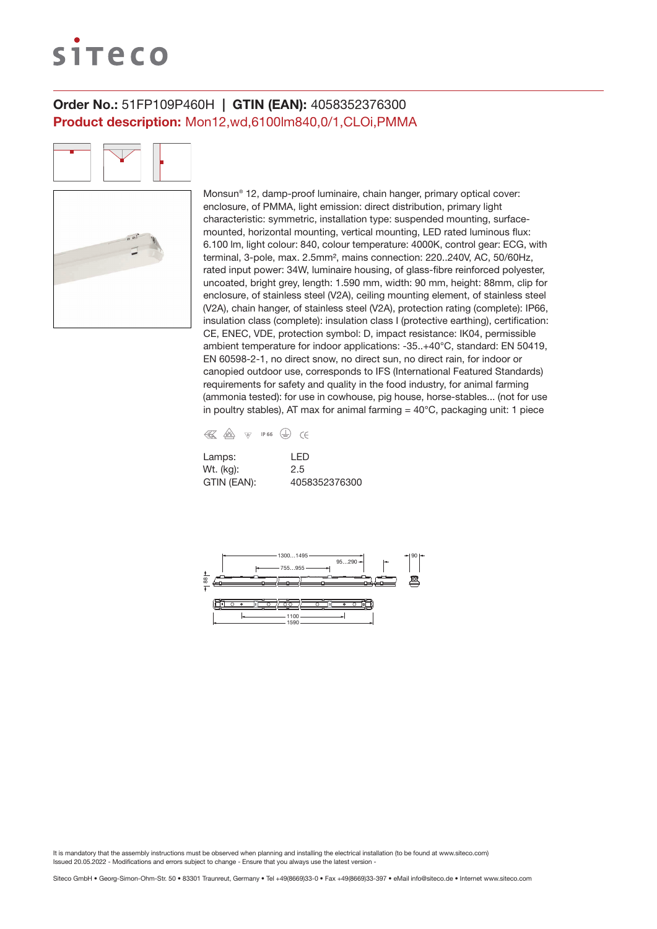# siteco

## Order No.: 51FP109P460H | GTIN (EAN): 4058352376300 Product description: Mon12,wd,6100lm840,0/1,CLOi,PMMA

Monsun® 12, damp-proof luminaire, chain hanger, primary optical cover: enclosure, of PMMA, light emission: direct distribution, primary light characteristic: symmetric, installation type: suspended mounting, surfacemounted, horizontal mounting, vertical mounting, LED rated luminous flux: 6.100 lm, light colour: 840, colour temperature: 4000K, control gear: ECG, with terminal, 3-pole, max. 2.5mm², mains connection: 220..240V, AC, 50/60Hz, rated input power: 34W, luminaire housing, of glass-fibre reinforced polyester, uncoated, bright grey, length: 1.590 mm, width: 90 mm, height: 88mm, clip for enclosure, of stainless steel (V2A), ceiling mounting element, of stainless steel (V2A), chain hanger, of stainless steel (V2A), protection rating (complete): IP66, insulation class (complete): insulation class I (protective earthing), certification: CE, ENEC, VDE, protection symbol: D, impact resistance: IK04, permissible ambient temperature for indoor applications: -35..+40°C, standard: EN 50419, EN 60598-2-1, no direct snow, no direct sun, no direct rain, for indoor or canopied outdoor use, corresponds to IFS (International Featured Standards) requirements for safety and quality in the food industry, for animal farming (ammonia tested): for use in cowhouse, pig house, horse-stables... (not for use in poultry stables), AT max for animal farming  $=$  40 $^{\circ}$ C, packaging unit: 1 piece



| Lamps:      | I FD          |
|-------------|---------------|
| Wt. (kg):   | 2.5           |
| GTIN (EAN): | 4058352376300 |

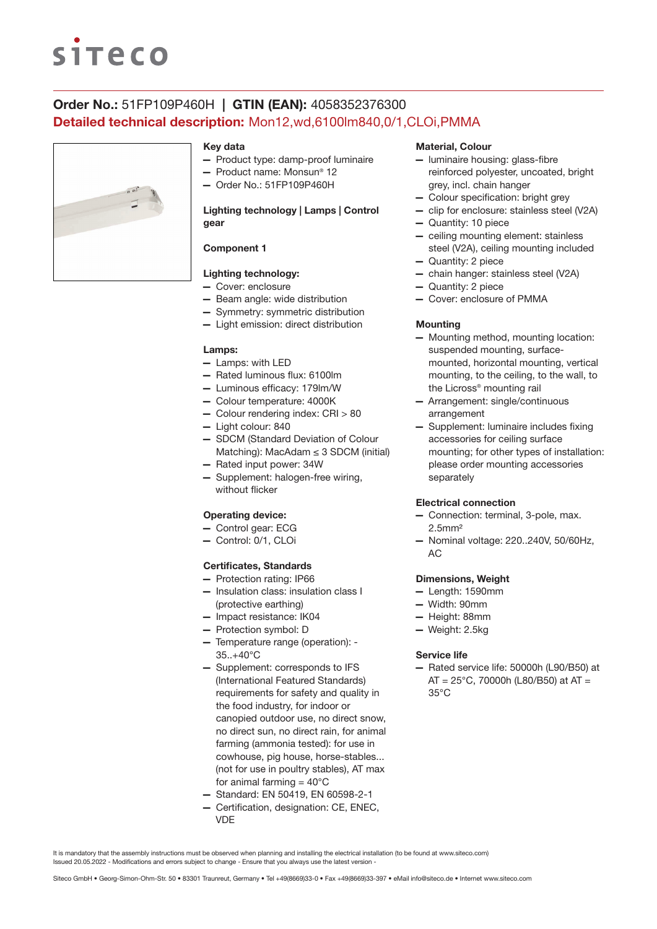# **siteco**

## Order No.: 51FP109P460H | GTIN (EAN): 4058352376300 Detailed technical description: Mon12,wd,6100lm840,0/1,CLOi,PMMA



#### Key data

- Product type: damp-proof luminaire
- Product name: Monsun® 12
- Order No.: 51FP109P460H

### Lighting technology | Lamps | Control gear

### Component 1

### Lighting technology:

- Cover: enclosure
- Beam angle: wide distribution
- Symmetry: symmetric distribution
- Light emission: direct distribution

#### Lamps:

- Lamps: with LED
- Rated luminous flux: 6100lm
- Luminous efficacy: 179lm/W
- Colour temperature: 4000K
- Colour rendering index: CRI > 80
- Light colour: 840
- SDCM (Standard Deviation of Colour Matching): MacAdam ≤ 3 SDCM (initial)
- Rated input power: 34W
- Supplement: halogen-free wiring, without flicker

#### Operating device:

- Control gear: ECG
- Control: 0/1, CLOi

#### Certificates, Standards

- Protection rating: IP66
- Insulation class: insulation class I (protective earthing)
- Impact resistance: IK04
- Protection symbol: D
- Temperature range (operation): 35..+40°C
- Supplement: corresponds to IFS (International Featured Standards) requirements for safety and quality in the food industry, for indoor or canopied outdoor use, no direct snow, no direct sun, no direct rain, for animal farming (ammonia tested): for use in cowhouse, pig house, horse-stables... (not for use in poultry stables), AT max for animal farming  $= 40^{\circ}$ C
- Standard: EN 50419, EN 60598-2-1
- Certification, designation: CE, ENEC, VDE

#### Material, Colour

- luminaire housing: glass-fibre reinforced polyester, uncoated, bright grey, incl. chain hanger
- Colour specification: bright grey
- clip for enclosure: stainless steel (V2A)
- Quantity: 10 piece
- ceiling mounting element: stainless steel (V2A), ceiling mounting included
- Quantity: 2 piece
- chain hanger: stainless steel (V2A)
- Quantity: 2 piece
- Cover: enclosure of PMMA

#### **Mounting**

- Mounting method, mounting location: suspended mounting, surfacemounted, horizontal mounting, vertical mounting, to the ceiling, to the wall, to the Licross® mounting rail
- Arrangement: single/continuous arrangement
- Supplement: luminaire includes fixing accessories for ceiling surface mounting; for other types of installation: please order mounting accessories separately

#### Electrical connection

- Connection: terminal, 3-pole, max. 2.5mm²
- Nominal voltage: 220..240V, 50/60Hz, AC

#### Dimensions, Weight

- Length: 1590mm
- Width: 90mm
- Height: 88mm
- Weight: 2.5kg

#### Service life

— Rated service life: 50000h (L90/B50) at  $AT = 25^{\circ}$ C, 70000h (L80/B50) at AT = 35°C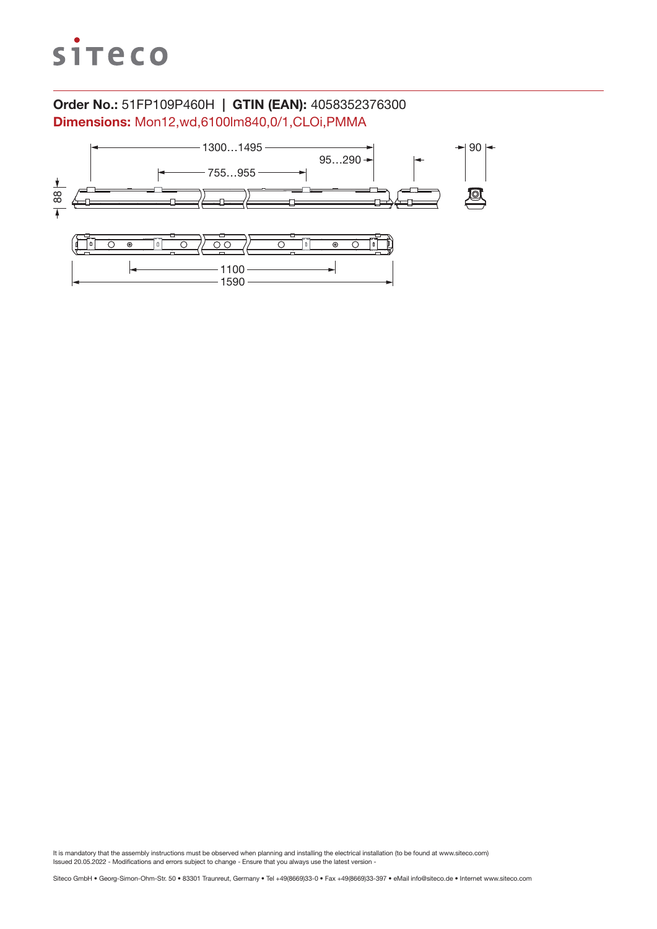

## Order No.: 51FP109P460H | GTIN (EAN): 4058352376300 Dimensions: Mon12,wd,6100lm840,0/1,CLOi,PMMA